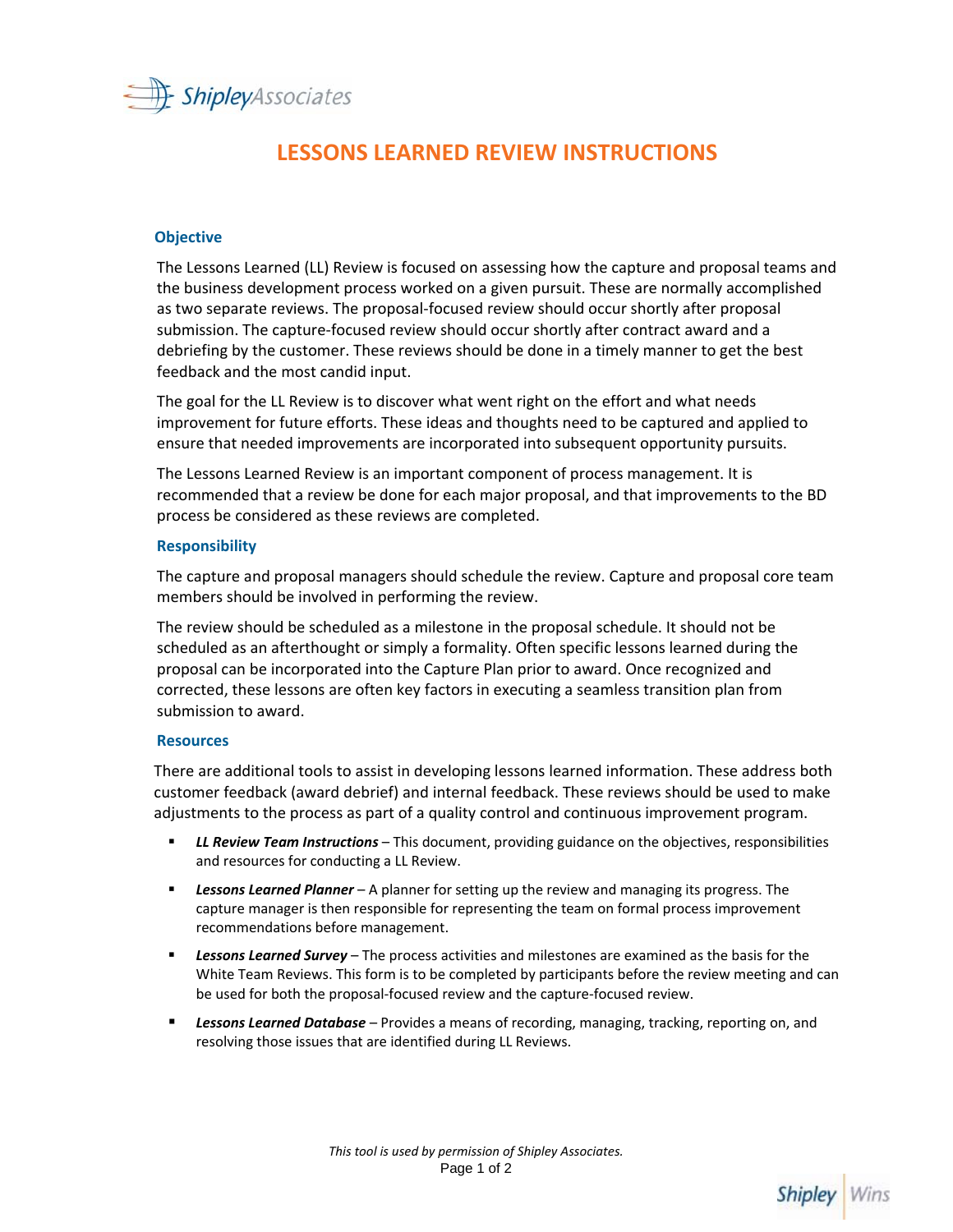

# **LESSONS LEARNED REVIEW INSTRUCTIONS**

### **Objective**

The Lessons Learned (LL) Review is focused on assessing how the capture and proposal teams and the business development process worked on a given pursuit. These are normally accomplished as two separate reviews. The proposal-focused review should occur shortly after proposal submission. The capture-focused review should occur shortly after contract award and a debriefing by the customer. These reviews should be done in a timely manner to get the best feedback and the most candid input.

The goal for the LL Review is to discover what went right on the effort and what needs improvement for future efforts. These ideas and thoughts need to be captured and applied to ensure that needed improvements are incorporated into subsequent opportunity pursuits.

The Lessons Learned Review is an important component of process management. It is recommended that a review be done for each major proposal, and that improvements to the BD process be considered as these reviews are completed.

### **Responsibility**

The capture and proposal managers should schedule the review. Capture and proposal core team members should be involved in performing the review.

The review should be scheduled as a milestone in the proposal schedule. It should not be scheduled as an afterthought or simply a formality. Often specific lessons learned during the proposal can be incorporated into the Capture Plan prior to award. Once recognized and corrected, these lessons are often key factors in executing a seamless transition plan from submission to award.

### **Resources**

There are additional tools to assist in developing lessons learned information. These address both customer feedback (award debrief) and internal feedback. These reviews should be used to make adjustments to the process as part of a quality control and continuous improvement program.

- *LL Review Team Instructions* This document, providing guidance on the objectives, responsibilities and resources for conducting a LL Review.
- *Lessons Learned Planner* A planner for setting up the review and managing its progress. The capture manager is then responsible for representing the team on formal process improvement recommendations before management.
- **Example 20 Fearned Survey** The process activities and milestones are examined as the basis for the White Team Reviews. This form is to be completed by participants before the review meeting and can be used for both the proposal-focused review and the capture-focused review.
- *Lessons Learned Database* Provides a means of recording, managing, tracking, reporting on, and resolving those issues that are identified during LL Reviews.